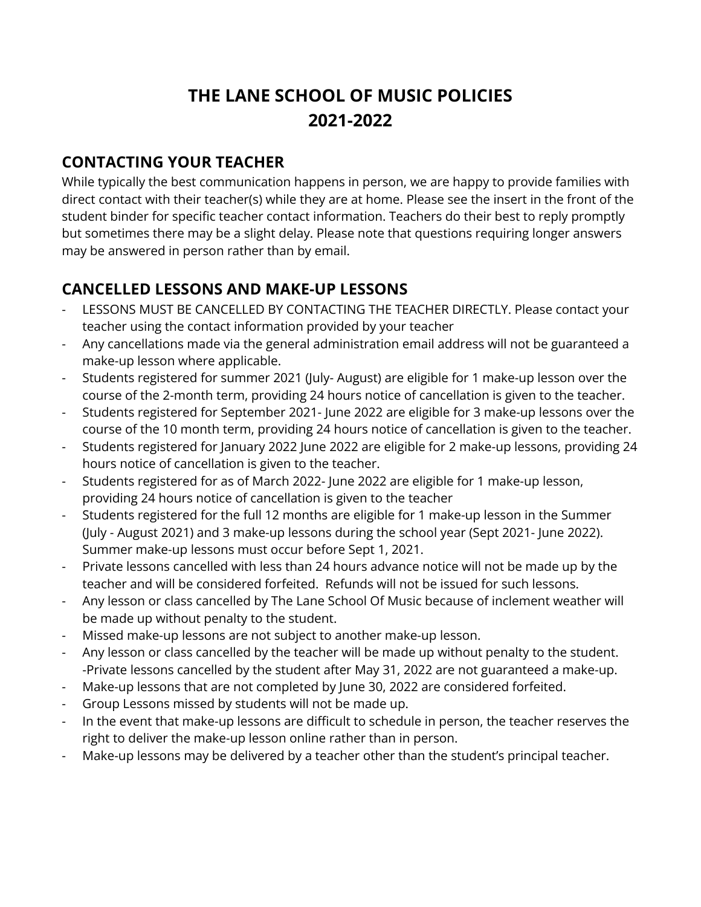# **THE LANE SCHOOL OF MUSIC POLICIES 2021-2022**

### **CONTACTING YOUR TEACHER**

While typically the best communication happens in person, we are happy to provide families with direct contact with their teacher(s) while they are at home. Please see the insert in the front of the student binder for specific teacher contact information. Teachers do their best to reply promptly but sometimes there may be a slight delay. Please note that questions requiring longer answers may be answered in person rather than by email.

# **CANCELLED LESSONS AND MAKE-UP LESSONS**

- LESSONS MUST BE CANCELLED BY CONTACTING THE TEACHER DIRECTLY. Please contact your teacher using the contact information provided by your teacher
- Any cancellations made via the general administration email address will not be guaranteed a make-up lesson where applicable.
- Students registered for summer 2021 (July- August) are eligible for 1 make-up lesson over the course of the 2-month term, providing 24 hours notice of cancellation is given to the teacher.
- Students registered for September 2021- June 2022 are eligible for 3 make-up lessons over the course of the 10 month term, providing 24 hours notice of cancellation is given to the teacher.
- Students registered for January 2022 June 2022 are eligible for 2 make-up lessons, providing 24 hours notice of cancellation is given to the teacher.
- Students registered for as of March 2022- June 2022 are eligible for 1 make-up lesson, providing 24 hours notice of cancellation is given to the teacher
- Students registered for the full 12 months are eligible for 1 make-up lesson in the Summer (July - August 2021) and 3 make-up lessons during the school year (Sept 2021- June 2022). Summer make-up lessons must occur before Sept 1, 2021.
- Private lessons cancelled with less than 24 hours advance notice will not be made up by the teacher and will be considered forfeited. Refunds will not be issued for such lessons.
- Any lesson or class cancelled by The Lane School Of Music because of inclement weather will be made up without penalty to the student.
- Missed make-up lessons are not subject to another make-up lesson.
- Any lesson or class cancelled by the teacher will be made up without penalty to the student. -Private lessons cancelled by the student after May 31, 2022 are not guaranteed a make-up.
- Make-up lessons that are not completed by June 30, 2022 are considered forfeited.
- Group Lessons missed by students will not be made up.
- In the event that make-up lessons are difficult to schedule in person, the teacher reserves the right to deliver the make-up lesson online rather than in person.
- Make-up lessons may be delivered by a teacher other than the student's principal teacher.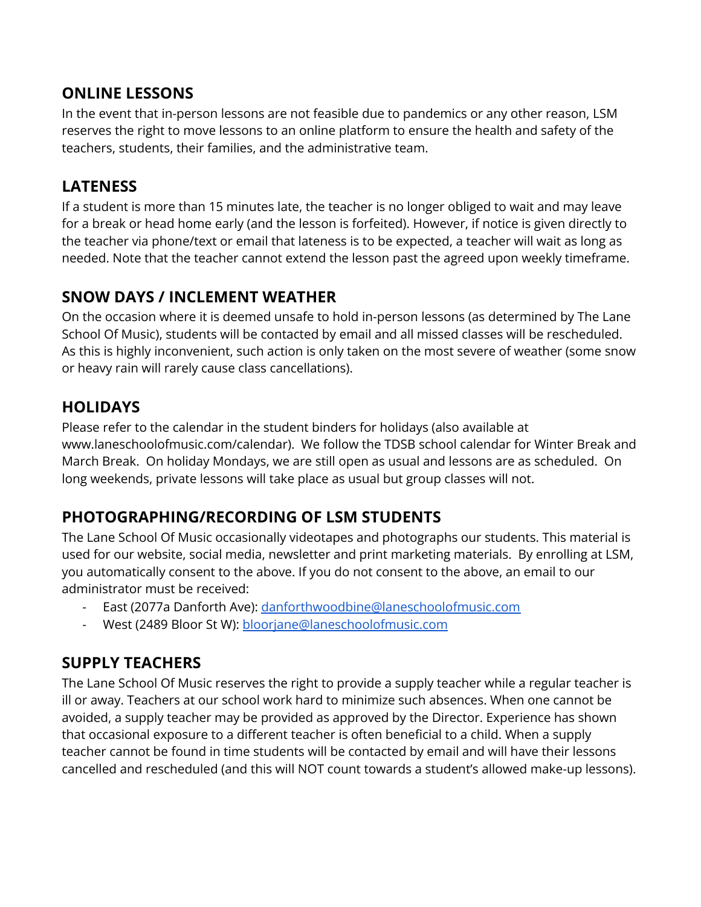### **ONLINE LESSONS**

In the event that in-person lessons are not feasible due to pandemics or any other reason, LSM reserves the right to move lessons to an online platform to ensure the health and safety of the teachers, students, their families, and the administrative team.

### **LATENESS**

If a student is more than 15 minutes late, the teacher is no longer obliged to wait and may leave for a break or head home early (and the lesson is forfeited). However, if notice is given directly to the teacher via phone/text or email that lateness is to be expected, a teacher will wait as long as needed. Note that the teacher cannot extend the lesson past the agreed upon weekly timeframe.

# **SNOW DAYS / INCLEMENT WEATHER**

On the occasion where it is deemed unsafe to hold in-person lessons (as determined by The Lane School Of Music), students will be contacted by email and all missed classes will be rescheduled. As this is highly inconvenient, such action is only taken on the most severe of weather (some snow or heavy rain will rarely cause class cancellations).

# **HOLIDAYS**

Please refer to the calendar in the student binders for holidays (also available at www.laneschoolofmusic.com/calendar). We follow the TDSB school calendar for Winter Break and March Break. On holiday Mondays, we are still open as usual and lessons are as scheduled. On long weekends, private lessons will take place as usual but group classes will not.

# **PHOTOGRAPHING/RECORDING OF LSM STUDENTS**

The Lane School Of Music occasionally videotapes and photographs our students. This material is used for our website, social media, newsletter and print marketing materials. By enrolling at LSM, you automatically consent to the above. If you do not consent to the above, an email to our administrator must be received:

- East (2077a Danforth Ave): [danforthwoodbine@laneschoolofmusic.com](mailto:danforthwoodbine@laneschoolofmusic.com)
- West (2489 Bloor St W): [bloorjane@laneschoolofmusic.com](mailto:bloorjane@laneschoolofmusic.com)

# **SUPPLY TEACHERS**

The Lane School Of Music reserves the right to provide a supply teacher while a regular teacher is ill or away. Teachers at our school work hard to minimize such absences. When one cannot be avoided, a supply teacher may be provided as approved by the Director. Experience has shown that occasional exposure to a different teacher is often beneficial to a child. When a supply teacher cannot be found in time students will be contacted by email and will have their lessons cancelled and rescheduled (and this will NOT count towards a student's allowed make-up lessons).